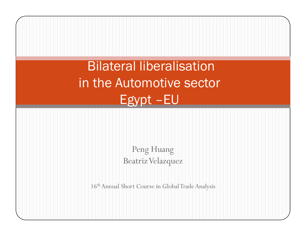Bilateral liberalisation in the Automotive sector Egypt –EU

> Peng Huang Beatriz Velazquez

16<sup>th</sup> Annual Short Course in Global Trade Analysis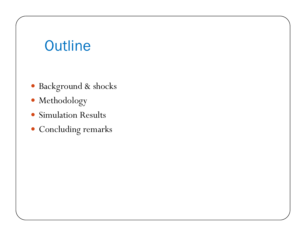# **Outline**

- Background & shocks
- Methodology
- Simulation Results
- Concluding remarks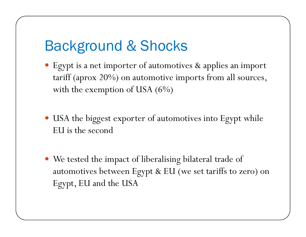# Background & Shocks

- y Egypt is a net importer of automotives & applies an import tariff (aprox 20%) on automotive imports from all sources, with the exemption of USA (6%)
- USA the biggest exporter of automotives into Egypt while EU is the second
- We tested the impact of liberalising bilateral trade of automotives between Egypt & EU (we set tariffs to zero) on Egypt, EU and the USA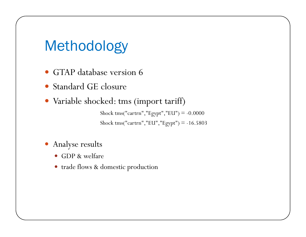## Methodology

- GTAP database version 6
- Standard GE closure
- Variable shocked: tms (import tariff)

Shock tms("cartrn","Egypt","EU") = -0.0000 Shock tms("cartrn","EU","Egypt") = -16.5803

- Analyse results
	- GDP & welfare
	- trade flows & domestic production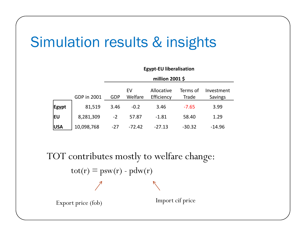# Simulation results & insights

|              |             | million 2001 \$ |               |                          |                   |                              |  |
|--------------|-------------|-----------------|---------------|--------------------------|-------------------|------------------------------|--|
|              | GDP in 2001 | <b>GDP</b>      | EV<br>Welfare | Allocative<br>Efficiency | Terms of<br>Trade | Investment<br><b>Savings</b> |  |
| <b>Egypt</b> | 81,519      | 3.46            | $-0.2$        | 3.46                     | $-7.65$           | 3.99                         |  |
| ΙEυ          | 8,281,309   | $-2$            | 57.87         | $-1.81$                  | 58.40             | 1.29                         |  |
| <b>USA</b>   | 10,098,768  | $-27$           | $-72.42$      | $-27.13$                 | $-30.32$          | $-14.96$                     |  |

**Egypt‐EU liberalisation**

TOT contributes mostly to welfare change:  $\text{tot}(r) \equiv \text{psw}(r) \cdot \text{pdw}(r)$ Import cif price Export price (fob)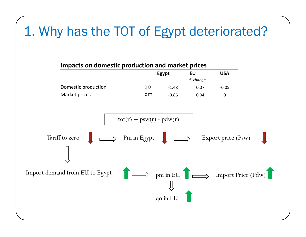## 1. Why has the TOT of Egypt deteriorated?

#### **Impacts on domestic production and market prices Egypt EU USA** *% change* Domestic production qo ‐1.48 0.07 ‐0.05 Market prices t prices pm -0.86 0.04 0

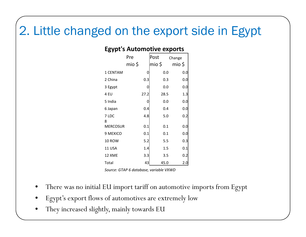### 2. Little changed on the export side in Egypt

| -512.<br>◡<br>ישיטו<br>OUVE CAPOLES |        |        |        |  |  |  |
|-------------------------------------|--------|--------|--------|--|--|--|
|                                     | Pre    | Post   | Change |  |  |  |
|                                     | mio \$ | mio \$ | mio \$ |  |  |  |
| 1 CENTAM                            | 0      | 0.0    | 0.0    |  |  |  |
| 2 China                             | 0.3    | 0.3    | 0.0    |  |  |  |
| 3 Egypt                             | 0      | 0.0    | 0.0    |  |  |  |
| 4 EU                                | 27.2   | 28.5   | 1.3    |  |  |  |
| 5 India                             | 0      | 0.0    | 0.0    |  |  |  |
| 6 Japan                             | 0.4    | 0.4    | 0.0    |  |  |  |
| 7 LDC                               | 4.8    | 5.0    | 0.2    |  |  |  |
| 8                                   |        |        |        |  |  |  |
| <b>MERCOSUR</b>                     | 0.1    | 0.1    | 0.0    |  |  |  |
| 9 MEXICO                            | 0.1    | 0.1    | 0.0    |  |  |  |
| 10 ROW                              | 5.2    | 5.5    | 0.3    |  |  |  |
| 11 USA                              | 1.4    | 1.5    | 0.1    |  |  |  |
| 12 XME                              | 3.3    | 3.5    | 0.2    |  |  |  |
| Total                               | 43     | 45.0   | 2.0    |  |  |  |

### **Egypt's Automotive exports**

*Source: GTAP 6 database, variable VXWD*

- •There was no initial EU import tariff on automotive imports from Egypt
- •Egypt's export flows of automotives are extremely low
- •They increased slightly, mainly towards EU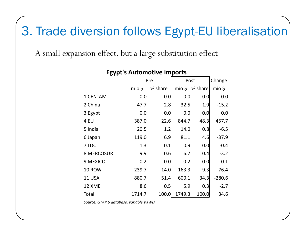### 3. Trade diversion follows Egypt-EU liberalisation

A small expansion effect, but a large substitution effect

| 0 I I <sup>-</sup> |        |         |        |                      |          |  |  |
|--------------------|--------|---------|--------|----------------------|----------|--|--|
|                    |        | Pre     | Post   | Change               |          |  |  |
|                    | mio \$ | % share |        | $mio \, \xi$ % share | $mio$ \$ |  |  |
| 1 CENTAM           | 0.0    | 0.0     | 0.0    | 0.0                  | 0.0      |  |  |
| 2 China            | 47.7   | 2.8     | 32.5   | 1.9                  | $-15.2$  |  |  |
| 3 Egypt            | 0.0    | 0.0     | 0.0    | 0.0                  | 0.0      |  |  |
| 4 EU               | 387.0  | 22.6    | 844.7  | 48.3                 | 457.7    |  |  |
| 5 India            | 20.5   | 1.2     | 14.0   | 0.8                  | $-6.5$   |  |  |
| 6 Japan            | 119.0  | 6.9     | 81.1   | 4.6                  | $-37.9$  |  |  |
| 7 LDC              | 1.3    | 0.1     | 0.9    | 0.0                  | $-0.4$   |  |  |
| <b>8 MERCOSUR</b>  | 9.9    | 0.6     | 6.7    | 0.4                  | $-3.2$   |  |  |
| 9 MEXICO           | 0.2    | 0.0     | 0.2    | 0.0                  | $-0.1$   |  |  |
| <b>10 ROW</b>      | 239.7  | 14.0    | 163.3  | 9.3                  | $-76.4$  |  |  |
| <b>11 USA</b>      | 880.7  | 51.4    | 600.1  | 34.3                 | $-280.6$ |  |  |
| 12 XME             | 8.6    | 0.5     | 5.9    | 0.3                  | $-2.7$   |  |  |
| Total              | 1714.7 | 100.0   | 1749.3 | 100.0                | 34.6     |  |  |

### **Egypt's Automotive imports**

*Source: GTAP 6 database, variable VXWD*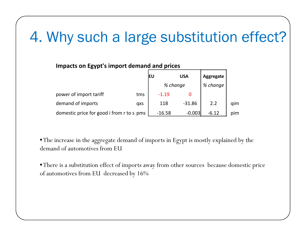# 4. Why such a large substitution effect?

#### **Impacts on Egypt's import demand and prices**

|                                           |     | ΙEυ      | <b>USA</b> | Aggregate |     |
|-------------------------------------------|-----|----------|------------|-----------|-----|
|                                           |     |          | % change   |           |     |
| power of import tariff                    | tms | $-1.19$  |            |           |     |
| demand of imports                         | qxs | 118      | $-31.86$   | 2.2       | qim |
| domestic price for good i from r to s pms |     | $-16.58$ | $-0.003$   | $-6.12$   | pim |

•The increase in the aggregate demand of imports in Egypt is mostly explained by the demand of automotives from EU

•There is a substitution effect of imports away from other sources because domestic price of automotives from EU decreased by 16%